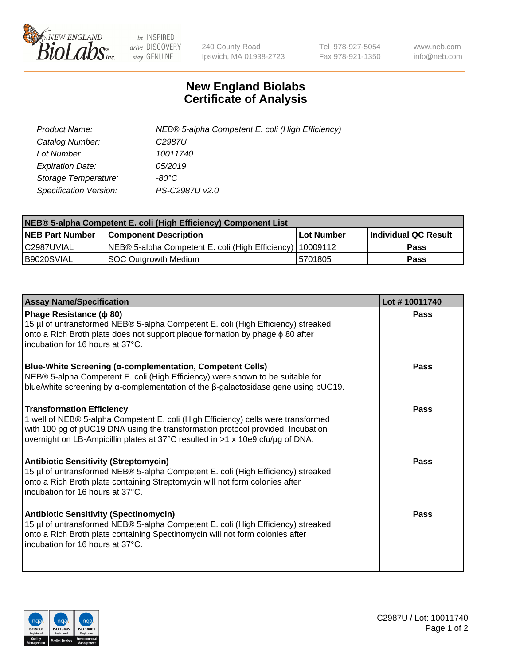

 $be$  INSPIRED drive DISCOVERY stay GENUINE

240 County Road Ipswich, MA 01938-2723 Tel 978-927-5054 Fax 978-921-1350 www.neb.com info@neb.com

## **New England Biolabs Certificate of Analysis**

| Product Name:                 | NEB® 5-alpha Competent E. coli (High Efficiency) |
|-------------------------------|--------------------------------------------------|
| Catalog Number:               | C <sub>2987</sub> U                              |
| Lot Number:                   | 10011740                                         |
| <b>Expiration Date:</b>       | 05/2019                                          |
| Storage Temperature:          | -80°C                                            |
| <b>Specification Version:</b> | PS-C2987U v2.0                                   |

| NEB® 5-alpha Competent E. coli (High Efficiency) Component List |                                                           |             |                      |  |  |
|-----------------------------------------------------------------|-----------------------------------------------------------|-------------|----------------------|--|--|
| <b>NEB Part Number</b>                                          | <b>Component Description</b>                              | ⊺Lot Number | Individual QC Result |  |  |
| l C2987UVIAL                                                    | NEB® 5-alpha Competent E. coli (High Efficiency) 10009112 |             | <b>Pass</b>          |  |  |
| B9020SVIAL                                                      | SOC Outgrowth Medium                                      | 5701805     | <b>Pass</b>          |  |  |

| <b>Assay Name/Specification</b>                                                                                                                                                                                                                                                            | Lot #10011740 |
|--------------------------------------------------------------------------------------------------------------------------------------------------------------------------------------------------------------------------------------------------------------------------------------------|---------------|
| Phage Resistance ( $\phi$ 80)<br>15 µl of untransformed NEB® 5-alpha Competent E. coli (High Efficiency) streaked<br>onto a Rich Broth plate does not support plaque formation by phage $\phi$ 80 after<br>incubation for 16 hours at 37°C.                                                | Pass          |
| Blue-White Screening (α-complementation, Competent Cells)<br>NEB® 5-alpha Competent E. coli (High Efficiency) were shown to be suitable for<br>blue/white screening by $\alpha$ -complementation of the $\beta$ -galactosidase gene using pUC19.                                           | Pass          |
| <b>Transformation Efficiency</b><br>1 well of NEB® 5-alpha Competent E. coli (High Efficiency) cells were transformed<br>with 100 pg of pUC19 DNA using the transformation protocol provided. Incubation<br>overnight on LB-Ampicillin plates at 37°C resulted in >1 x 10e9 cfu/ug of DNA. | Pass          |
| <b>Antibiotic Sensitivity (Streptomycin)</b><br>15 µl of untransformed NEB® 5-alpha Competent E. coli (High Efficiency) streaked<br>onto a Rich Broth plate containing Streptomycin will not form colonies after<br>incubation for 16 hours at 37°C.                                       | Pass          |
| <b>Antibiotic Sensitivity (Spectinomycin)</b><br>15 µl of untransformed NEB® 5-alpha Competent E. coli (High Efficiency) streaked<br>onto a Rich Broth plate containing Spectinomycin will not form colonies after<br>incubation for 16 hours at 37°C.                                     | Pass          |